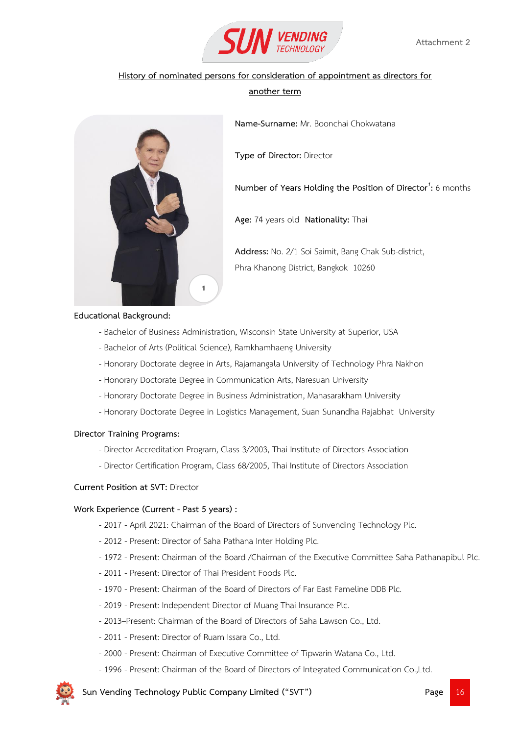

# **another term**

**Name-Surname:** Mr. Boonchai Chokwatana

**Type of Director:** Director

# **Number of Years Holding the Position of Director***<sup>1</sup>* **:** 6 months

**Age:** 74 years old **Nationality:** Thai

**Address:** No. 2/1 Soi Saimit, Bang Chak Sub-district, Phra Khanong District, Bangkok 10260

#### **Educational Background:**

- Bachelor of Business Administration, Wisconsin State University at Superior, USA
- Bachelor of Arts (Political Science), Ramkhamhaeng University

1

- Honorary Doctorate degree in Arts, Rajamangala University of Technology Phra Nakhon
- Honorary Doctorate Degree in Communication Arts, Naresuan University
- Honorary Doctorate Degree in Business Administration, Mahasarakham University
- Honorary Doctorate Degree in Logistics Management, Suan Sunandha Rajabhat University

#### **Director Training Programs:**

- Director Accreditation Program, Class 3/2003, Thai Institute of Directors Association
- Director Certification Program, Class 68/2005, Thai Institute of Directors Association

#### **Current Position at SVT:** Director

#### **Work Experience (Current - Past 5 years) :**

- 2017 April 2021: Chairman of the Board of Directors of Sunvending Technology Plc.
- 2012 Present: Director of Saha Pathana Inter Holding Plc.
- 1972 Present: Chairman of the Board /Chairman of the Executive Committee Saha Pathanapibul Plc.
- 2011 Present: Director of Thai President Foods Plc.
- 1970 Present: Chairman of the Board of Directors of Far East Fameline DDB Plc.
- 2019 Present: Independent Director of Muang Thai Insurance Plc.
- 2013–Present: Chairman of the Board of Directors of Saha Lawson Co., Ltd.
- 2011 Present: Director of Ruam Issara Co., Ltd.
- 2000 Present: Chairman of Executive Committee of Tipwarin Watana Co., Ltd.
- 1996 Present: Chairman of the Board of Directors of Integrated Communication Co.,Ltd.

 **Sun Vending Technology Public Company Limited ("SVT") Page** 16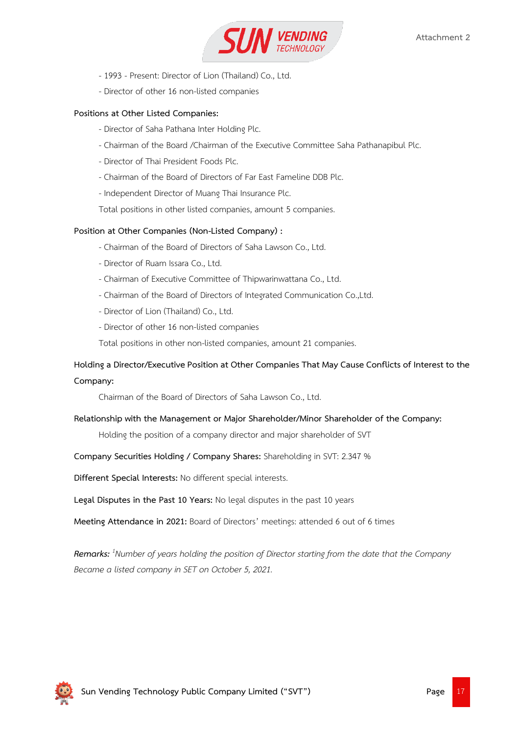

- 1993 Present: Director of Lion (Thailand) Co., Ltd.
- Director of other 16 non-listed companies

# **Positions at Other Listed Companies:**

- Director of Saha Pathana Inter Holding Plc.
- Chairman of the Board /Chairman of the Executive Committee Saha Pathanapibul Plc.
- Director of Thai President Foods Plc.
- Chairman of the Board of Directors of Far East Fameline DDB Plc.
- Independent Director of Muang Thai Insurance Plc.
- Total positions in other listed companies, amount 5 companies.

# **Position at Other Companies (Non-Listed Company) :**

- Chairman of the Board of Directors of Saha Lawson Co., Ltd.
- Director of Ruam Issara Co., Ltd.
- Chairman of Executive Committee of Thipwarinwattana Co., Ltd.
- Chairman of the Board of Directors of Integrated Communication Co.,Ltd.
- Director of Lion (Thailand) Co., Ltd.
- Director of other 16 non-listed companies

Total positions in other non-listed companies, amount 21 companies.

# **Holding a Director/Executive Position at Other Companies That May Cause Conflicts of Interest to the**

# **Company:**

Chairman of the Board of Directors of Saha Lawson Co., Ltd.

# **Relationship with the Management or Major Shareholder/Minor Shareholder of the Company:**

Holding the position of a company director and major shareholder of SVT

# **Company Securities Holding / Company Shares:** Shareholding in SVT: 2.347 %

**Different Special Interests:** No different special interests.

**Legal Disputes in the Past 10 Years:** No legal disputes in the past 10 years

**Meeting Attendance in 2021:** Board of Directors' meetings: attended 6 out of 6 times

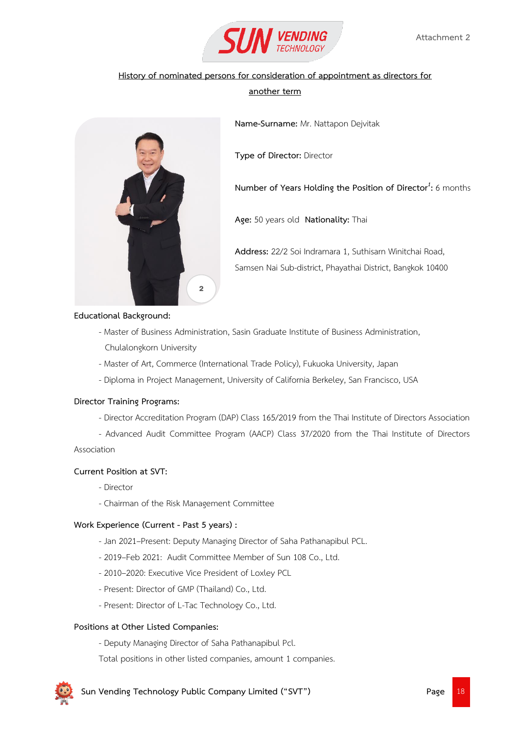

# **another term**

**Name-Surname:** Mr. Nattapon Dejvitak

**Type of Director:** Director

**Number of Years Holding the Position of Director***<sup>1</sup>* **:** 6 months

**Age:** 50 years old **Nationality:** Thai

**Address:** 22/2 Soi Indramara 1, Suthisarn Winitchai Road, Samsen Nai Sub-district, Phayathai District, Bangkok 10400

# **Educational Background:**

- Master of Business Administration, Sasin Graduate Institute of Business Administration, Chulalongkorn University
- Master of Art, Commerce (International Trade Policy), Fukuoka University, Japan
- Diploma in Project Management, University of California Berkeley, San Francisco, USA

#### **Director Training Programs:**

- Director Accreditation Program (DAP) Class 165/2019 from the Thai Institute of Directors Association
- Advanced Audit Committee Program (AACP) Class 37/2020 from the Thai Institute of Directors

Association

# **Current Position at SVT:**

- Director
- Chairman of the Risk Management Committee

2

#### **Work Experience (Current - Past 5 years) :**

- Jan 2021–Present: Deputy Managing Director of Saha Pathanapibul PCL.
- 2019–Feb 2021: Audit Committee Member of Sun 108 Co., Ltd.
- 2010–2020: Executive Vice President of Loxley PCL
- Present: Director of GMP (Thailand) Co., Ltd.
- Present: Director of L-Tac Technology Co., Ltd.

#### **Positions at Other Listed Companies:**

- Deputy Managing Director of Saha Pathanapibul Pcl.
- Total positions in other listed companies, amount 1 companies.

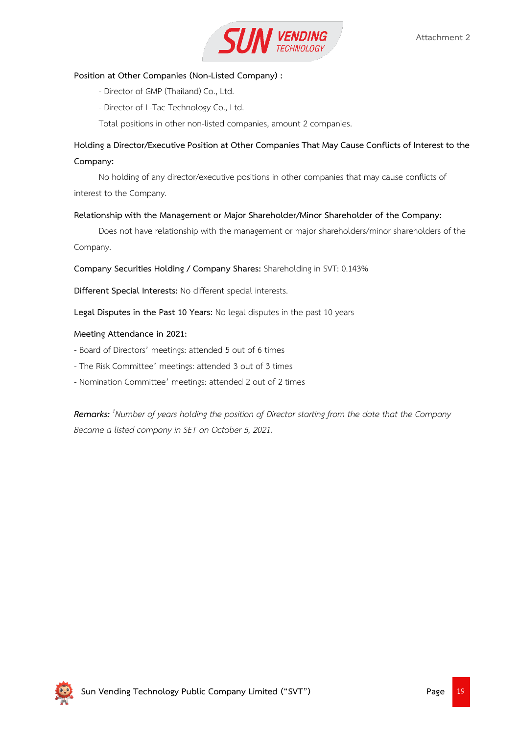

# **Position at Other Companies (Non-Listed Company) :**

- Director of GMP (Thailand) Co., Ltd.
- Director of L-Tac Technology Co., Ltd.

Total positions in other non-listed companies, amount 2 companies.

# **Holding a Director/Executive Position at Other Companies That May Cause Conflicts of Interest to the Company:**

No holding of any director/executive positions in other companies that may cause conflicts of interest to the Company.

#### **Relationship with the Management or Major Shareholder/Minor Shareholder of the Company:**

Does not have relationship with the management or major shareholders/minor shareholders of the Company.

**Company Securities Holding / Company Shares:** Shareholding in SVT: 0.143%

**Different Special Interests:** No different special interests.

**Legal Disputes in the Past 10 Years:** No legal disputes in the past 10 years

#### **Meeting Attendance in 2021:**

- Board of Directors' meetings: attended 5 out of 6 times
- The Risk Committee' meetings: attended 3 out of 3 times
- Nomination Committee' meetings: attended 2 out of 2 times

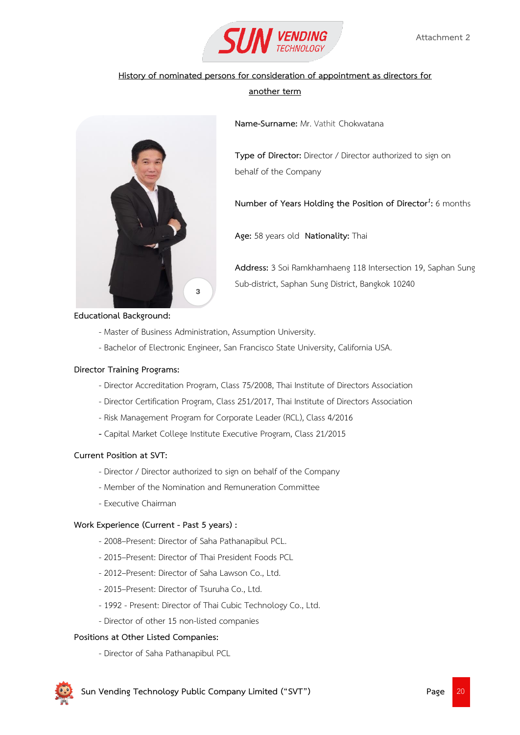

# **another term**

**Name-Surname:** Mr. Vathit Chokwatana

**Type of Director:** Director / Director authorized to sign on behalf of the Company

**Number of Years Holding the Position of Director***<sup>1</sup>* **:** 6 months

**Age:** 58 years old **Nationality:** Thai

**Address:** 3 Soi Ramkhamhaeng 118 Intersection 19, Saphan Sung Sub-district, Saphan Sung District, Bangkok 10240

**Educational Background:**

- Master of Business Administration, Assumption University.

3

- Bachelor of Electronic Engineer, San Francisco State University, California USA.

#### **Director Training Programs:**

- Director Accreditation Program, Class 75/2008, Thai Institute of Directors Association
- Director Certification Program, Class 251/2017, Thai Institute of Directors Association
- Risk Management Program for Corporate Leader (RCL), Class 4/2016
- **-** Capital Market College Institute Executive Program, Class 21/2015

#### **Current Position at SVT:**

- Director / Director authorized to sign on behalf of the Company
- Member of the Nomination and Remuneration Committee
- Executive Chairman

#### **Work Experience (Current - Past 5 years) :**

- 2008–Present: Director of Saha Pathanapibul PCL.
- 2015–Present: Director of Thai President Foods PCL
- 2012–Present: Director of Saha Lawson Co., Ltd.
- 2015–Present: Director of Tsuruha Co., Ltd.
- 1992 Present: Director of Thai Cubic Technology Co., Ltd.
- Director of other 15 non-listed companies

#### **Positions at Other Listed Companies:**

- Director of Saha Pathanapibul PCL

 **Sun Vending Technology Public Company Limited ("SVT") Page** 2014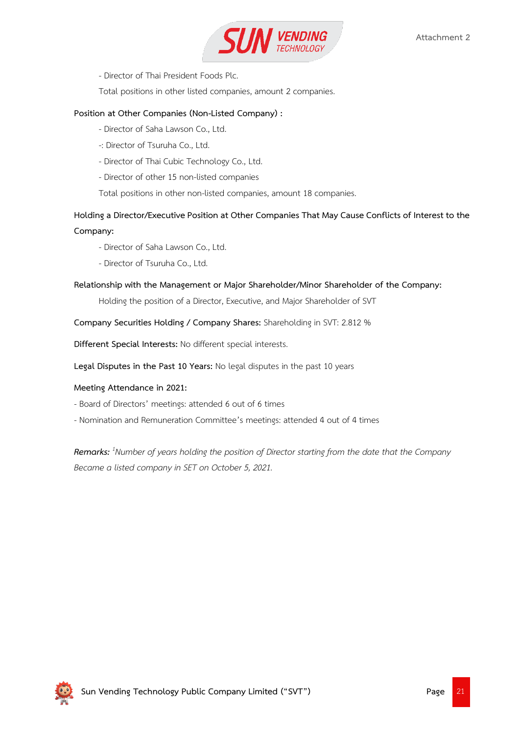

- Director of Thai President Foods Plc.

Total positions in other listed companies, amount 2 companies.

# **Position at Other Companies (Non-Listed Company) :**

- Director of Saha Lawson Co., Ltd.
- -: Director of Tsuruha Co., Ltd.
- Director of Thai Cubic Technology Co., Ltd.
- Director of other 15 non-listed companies

Total positions in other non-listed companies, amount 18 companies.

**Holding a Director/Executive Position at Other Companies That May Cause Conflicts of Interest to the Company:**

- Director of Saha Lawson Co., Ltd.
- Director of Tsuruha Co., Ltd.

# **Relationship with the Management or Major Shareholder/Minor Shareholder of the Company:**

Holding the position of a Director, Executive, and Major Shareholder of SVT

**Company Securities Holding / Company Shares:** Shareholding in SVT: 2.812 %

**Different Special Interests:** No different special interests.

**Legal Disputes in the Past 10 Years:** No legal disputes in the past 10 years

# **Meeting Attendance in 2021:**

- Board of Directors' meetings: attended 6 out of 6 times
- Nomination and Remuneration Committee's meetings: attended 4 out of 4 times

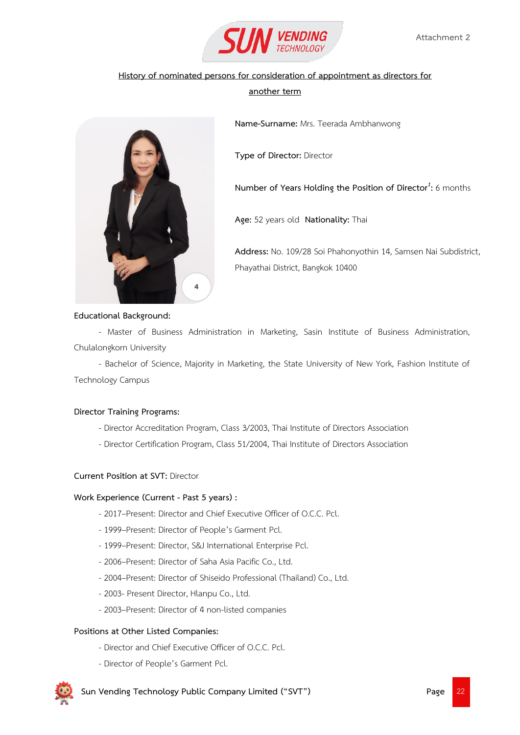

# **another term**

**Name-Surname:** Mrs. Teerada Ambhanwong

**Type of Director:** Director

**Number of Years Holding the Position of Director***<sup>1</sup>* **:** 6 months

**Age:** 52 years old **Nationality:** Thai

**Address:** No. 109/28 Soi Phahonyothin 14, Samsen Nai Subdistrict, Phayathai District, Bangkok 10400



- Master of Business Administration in Marketing, Sasin Institute of Business Administration, Chulalongkorn University

- Bachelor of Science, Majority in Marketing, the State University of New York, Fashion Institute of Technology Campus

#### **Director Training Programs:**

- Director Accreditation Program, Class 3/2003, Thai Institute of Directors Association
- Director Certification Program, Class 51/2004, Thai Institute of Directors Association

# **Current Position at SVT:** Director

#### **Work Experience (Current - Past 5 years) :**

- 2017–Present: Director and Chief Executive Officer of O.C.C. Pcl.
- 1999–Present: Director of People's Garment Pcl.

4

- 1999–Present: Director, S&J International Enterprise Pcl.
- 2006–Present: Director of Saha Asia Pacific Co., Ltd.
- 2004–Present: Director of Shiseido Professional (Thailand) Co., Ltd.
- 2003- Present Director, Hlanpu Co., Ltd.
- 2003–Present: Director of 4 non-listed companies

# **Positions at Other Listed Companies:**

- Director and Chief Executive Officer of O.C.C. Pcl.
- Director of People's Garment Pcl.

**Sun Vending Technology Public Company Limited ("SVT") Page** 222 **Page**